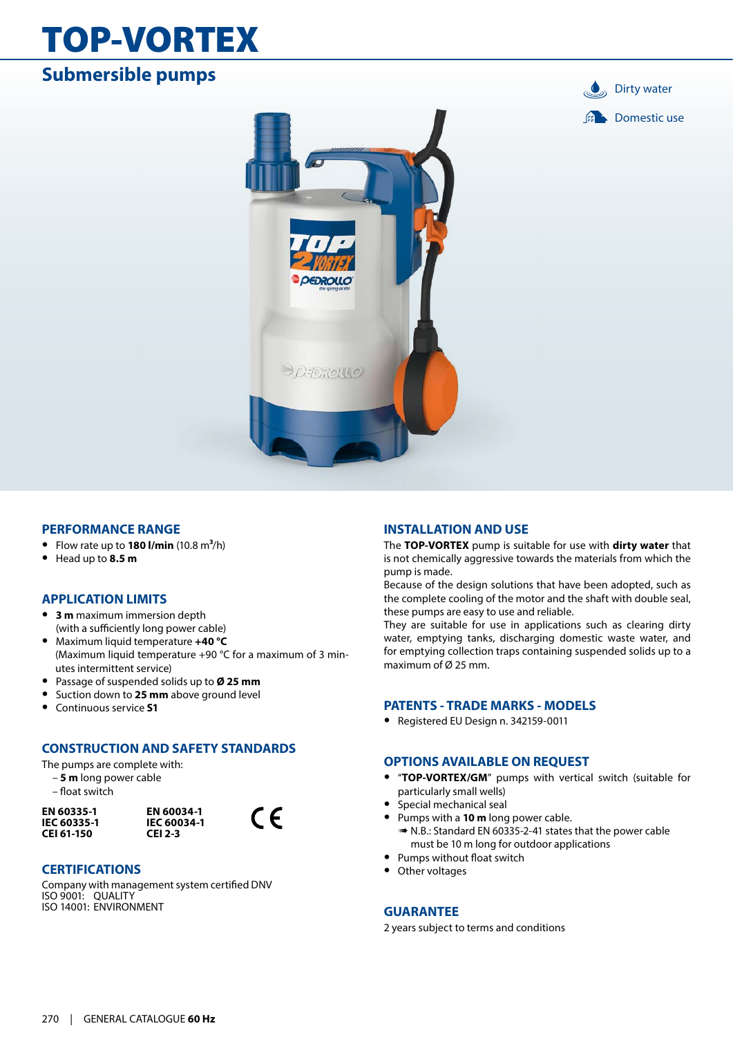## TOP-VORTEX

### **Submersible pumps**





#### **PERFORMANCE RANGE**

- **•** Flow rate up to **180 l/min** (10.8 m**3**/h)
- **•** Head up to **8.5 m**

#### **APPLICATION LIMITS**

- **• 3 m** maximum immersion depth (with a sufficiently long power cable)
- **•** Maximum liquid temperature **+40 °C** (Maximum liquid temperature +90 °C for a maximum of 3 minutes intermittent service)
- **•** Passage of suspended solids up to **Ø 25 mm**
- **•** Suction down to **25 mm** above ground level
- **•** Continuous service **S1**

#### **CONSTRUCTION AND SAFETY STANDARDS**

The pumps are complete with:

- **5 m** long power cable
- float switch

**EN 60335-1 IEC 60335-1 CEI 61-150**



 $\epsilon$ 

#### **CERTIFICATIONS**

Company with management system certified DNV ISO 9001: QUALITY ISO 14001: ENVIRONMENT

#### **INSTALLATION AND USE**

The **TOP-VORTEX** pump is suitable for use with **dirty water** that is not chemically aggressive towards the materials from which the pump is made.

Because of the design solutions that have been adopted, such as the complete cooling of the motor and the shaft with double seal, these pumps are easy to use and reliable.

They are suitable for use in applications such as clearing dirty water, emptying tanks, discharging domestic waste water, and for emptying collection traps containing suspended solids up to a maximum of Ø 25 mm.

#### **PATENTS - TRADE MARKS - MODELS**

**•** Registered EU Design n. 342159-0011

#### **OPTIONS AVAILABLE ON REQUEST**

- **•** "**TOP-VORTEX/GM**" pumps with vertical switch (suitable for particularly small wells)
- **•** Special mechanical seal
- **•** Pumps with a **10 m** long power cable.
	- ➠ N.B.: Standard EN 60335-2-41 states that the power cable must be 10 m long for outdoor applications
- **•** Pumps without float switch
- **•** Other voltages

#### **GUARANTEE**

2 years subject to terms and conditions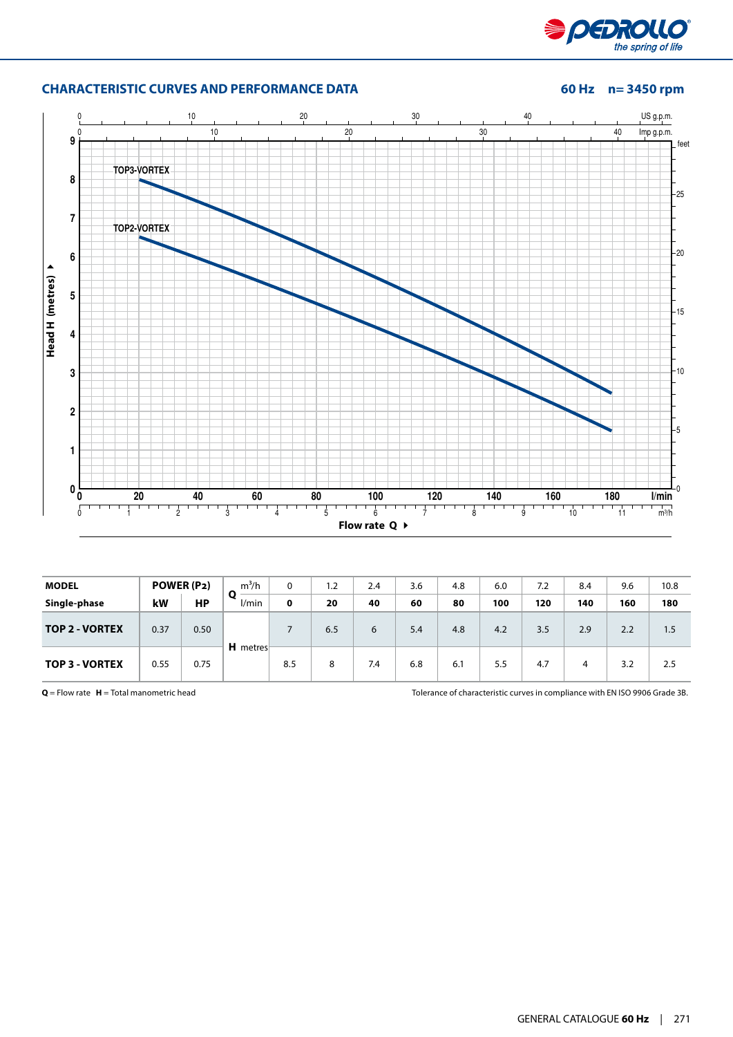

#### **CHARACTERISTIC CURVES AND PERFORMANCE DATA 60 Hz n= 3450 rpm**



| <b>MODEL</b>          |      | POWER (P2) | $m^3/h$  | 0   | 1.2 | 2.4 | 3.6 | 4.8 | 6.0 | 7.2 | 8.4 | 9.6 | 10.8 |
|-----------------------|------|------------|----------|-----|-----|-----|-----|-----|-----|-----|-----|-----|------|
| Single-phase          | kW   | <b>HP</b>  | l/min    | 0   | 20  | 40  | 60  | 80  | 100 | 120 | 140 | 160 | 180  |
| <b>TOP 2 - VORTEX</b> | 0.37 | 0.50       |          |     | 6.5 | 6   | 5.4 | 4.8 | 4.2 | 3.5 | 2.9 | 2.2 | 1.5  |
| <b>TOP 3 - VORTEX</b> | 0.55 | 0.75       | H metres | 8.5 | 8   | 7.4 | 6.8 | 6.1 | 5.5 | 4.7 | 4   | 3.2 | 2.5  |

**Q** = Flow rate **H** = Total manometric head Tolerance of characteristic curves in compliance with EN ISO 9906 Grade 3B.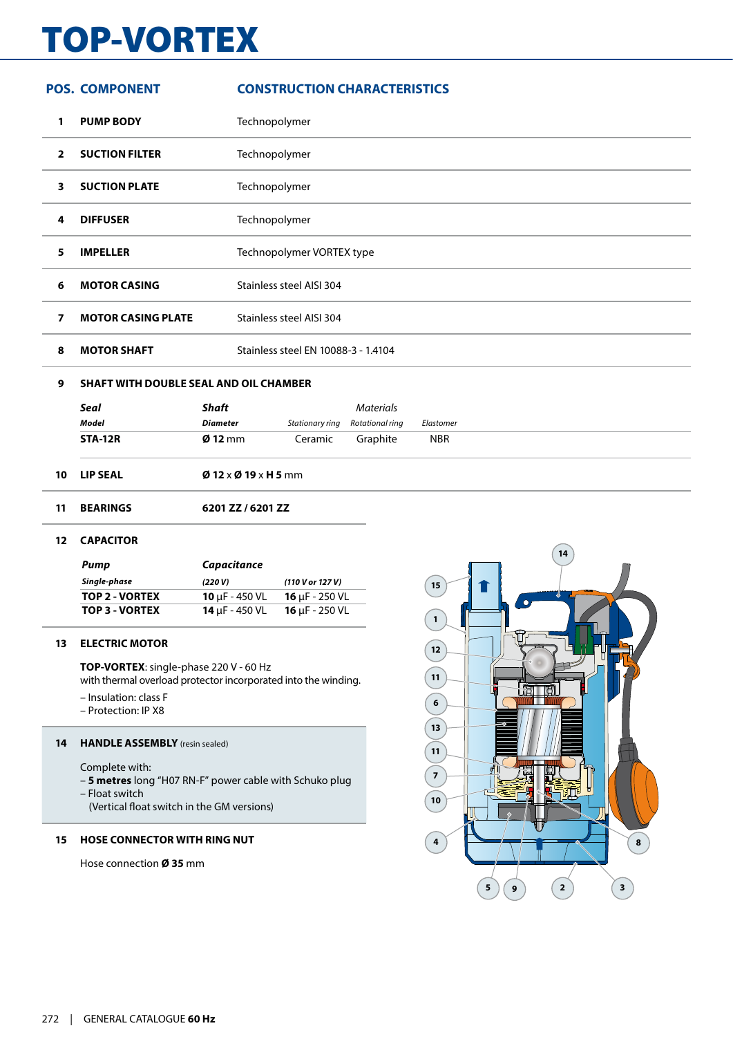# TOP-VORTEX

|                | <b>POS. COMPONENT</b>                  |                          | <b>CONSTRUCTION CHARACTERISTICS</b> |                  |            |  |  |
|----------------|----------------------------------------|--------------------------|-------------------------------------|------------------|------------|--|--|
| 1              | <b>PUMP BODY</b>                       |                          | Technopolymer                       |                  |            |  |  |
| $\mathbf{2}$   | <b>SUCTION FILTER</b>                  |                          | Technopolymer                       |                  |            |  |  |
| 3              | <b>SUCTION PLATE</b>                   |                          | Technopolymer                       |                  |            |  |  |
| 4              | <b>DIFFUSER</b>                        |                          | Technopolymer                       |                  |            |  |  |
| 5              | <b>IMPELLER</b>                        |                          | Technopolymer VORTEX type           |                  |            |  |  |
| 6              | <b>MOTOR CASING</b>                    |                          | Stainless steel AISI 304            |                  |            |  |  |
| $\overline{ }$ | <b>MOTOR CASING PLATE</b>              |                          | Stainless steel AISI 304            |                  |            |  |  |
| 8              | <b>MOTOR SHAFT</b>                     |                          | Stainless steel EN 10088-3 - 1.4104 |                  |            |  |  |
| 9              | SHAFT WITH DOUBLE SEAL AND OIL CHAMBER |                          |                                     |                  |            |  |  |
|                | <b>Seal</b>                            | <b>Shaft</b>             |                                     | <b>Materials</b> |            |  |  |
|                | <b>Model</b>                           | <b>Diameter</b>          | Stationary ring                     | Rotational ring  | Elastomer  |  |  |
|                | <b>STA-12R</b>                         | $Ø$ 12 mm                | Ceramic                             | Graphite         | <b>NBR</b> |  |  |
| 10             | <b>LIP SEAL</b>                        | $Ø$ 12 x $Ø$ 19 x H 5 mm |                                     |                  |            |  |  |
| 11             | <b>BEARINGS</b>                        | 6201 ZZ / 6201 ZZ        |                                     |                  |            |  |  |

#### **CAPACITOR**

| Pump           | Capacitance                |                            |
|----------------|----------------------------|----------------------------|
| Single-phase   | (220 V)                    | (110 V or 127 V)           |
| TOP 2 - VORTEX | <b>10</b> $\mu$ F - 450 VL | <b>16</b> $\mu$ F - 250 VL |
| TOP 3 - VORTEX | <b>14 uF - 450 VL</b>      | <b>16</b> $\mu$ F - 250 VL |

#### **ELECTRIC MOTOR**

**TOP-VORTEX**: single-phase 220 V - 60 Hz with thermal overload protector incorporated into the winding.

- Insulation: class F
- Protection: IP X8

#### **HANDLE ASSEMBLY** (resin sealed)

Complete with:

- **5 metres** long "H07 RN-F" power cable with Schuko plug
- Float switch
	- (Vertical float switch in the GM versions)

### **HOSE CONNECTOR WITH RING NUT**

Hose connection **Ø 35** mm